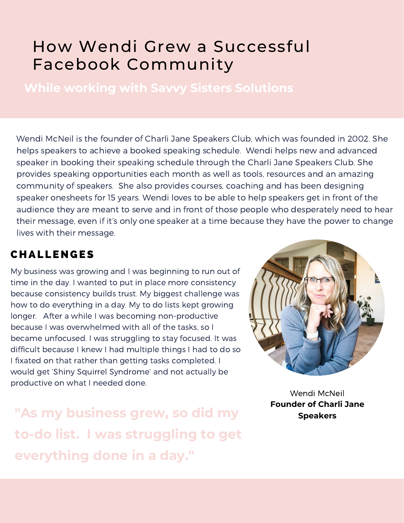# How Wendi Grew a Successful Facebook Community

**While working with Savvy Sisters Solutions**

Wendi McNeil is the founder of Charli Jane Speakers Club, which was founded in 2002. She helps speakers to achieve a booked speaking schedule. Wendi helps new and advanced speaker in booking their speaking schedule through the Charli Jane Speakers Club. She provides speaking opportunities each month as well as tools, resources and an amazing community of speakers. She also provides courses, coaching and has been designing speaker onesheets for 15 years. Wendi loves to be able to help speakers get in front of the audience they are meant to serve and in front of those people who desperately need to hear their message, even if it's only one speaker at a time because they have the power to change lives with their message.

### **CHALLENGES**

My business was growing and I was beginning to run out of time in the day. I wanted to put in place more consistency because consistency builds trust. My biggest challenge was how to do everything in a day. My to do lists kept growing longer. After a while I was becoming non-productive because I was overwhelmed with all of the tasks, so I became unfocused. I was struggling to stay focused. It was difficult because I knew I had multiple things I had to do so I fixated on that rather than getting tasks completed. I would get 'Shiny Squirrel Syndrome' and not actually be productive on what I needed done.

**"As my business grew, so did my Speakers to-do list. I was struggling to get everything done in a day."**



Wendi McNeil **Founder of Charli Jane**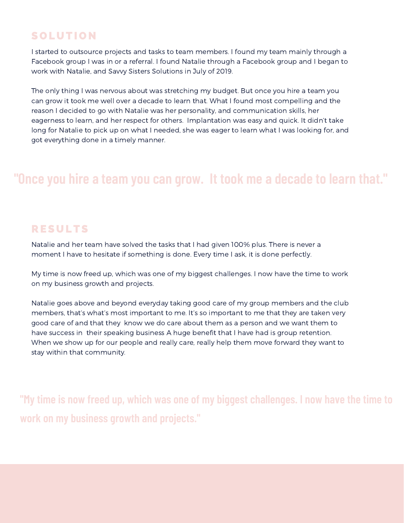### **SOLUTION**

I started to outsource projects and tasks to team members. I found my team mainly through a Facebook group I was in or a referral. I found Natalie through a Facebook group and I began to work with Natalie, and Savvy Sisters Solutions in July of 2019.

The only thing I was nervous about was stretching my budget. But once you hire a team you can grow it took me well over a decade to learn that. What I found most compelling and the reason I decided to go with Natalie was her personality, and communication skills, her eagerness to learn, and her respect for others. Implantation was easy and quick. It didn't take long for Natalie to pick up on what I needed, she was eager to learn what I was looking for, and got everything done in a timely manner.

## **"Once you hire a team you can grow. It took me a decade to learn that."**

#### **RESULTS**

Natalie and her team have solved the tasks that I had given 100% plus. There is never a moment I have to hesitate if something is done. Every time I ask, it is done perfectly.

My time is now freed up, which was one of my biggest challenges. I now have the time to work on my business growth and projects.

Natalie goes above and beyond everyday taking good care of my group members and the club members, that's what's most important to me. It's so important to me that they are taken very good care of and that they know we do care about them as a person and we want them to have success in their speaking business A huge benefit that I have had is group retention. When we show up for our people and really care, really help them move forward they want to stay within that community.

**"My time is now freed up, which was one of my biggest challenges. I now have the time to work on my business growth and projects."**